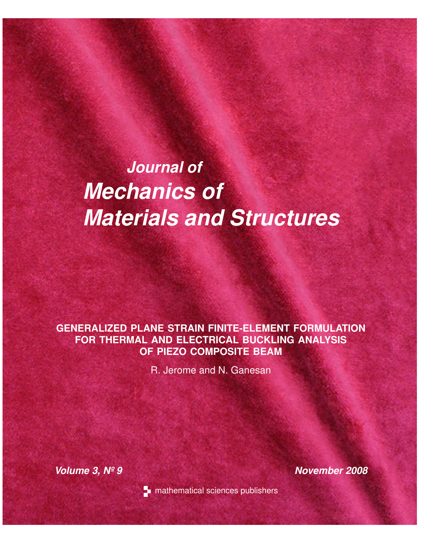# *Journal of Mechanics of Materials and Structures*

# **GENERALIZED PLANE STRAIN FINITE-ELEMENT FORMULATION FOR THERMAL AND ELECTRICAL BUCKLING ANALYSIS OF PIEZO COMPOSITE BEAM**

R. Jerome and N. Ganesan

*Volume 3, Nº 9 November 2008*



**n** mathematical sciences publishers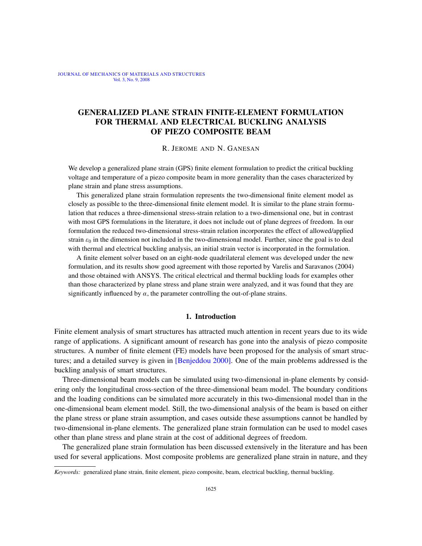JOURNAL OF MECHANICS OF MATERIALS AND STRUCTURES Vol. 3, No. 9, 2008

# GENERALIZED PLANE STRAIN FINITE-ELEMENT FORMULATION FOR THERMAL AND ELECTRICAL BUCKLING ANALYSIS OF PIEZO COMPOSITE BEAM

R. JEROME AND N. GANESAN

We develop a generalized plane strain (GPS) finite element formulation to predict the critical buckling voltage and temperature of a piezo composite beam in more generality than the cases characterized by plane strain and plane stress assumptions.

This generalized plane strain formulation represents the two-dimensional finite element model as closely as possible to the three-dimensional finite element model. It is similar to the plane strain formulation that reduces a three-dimensional stress-strain relation to a two-dimensional one, but in contrast with most GPS formulations in the literature, it does not include out of plane degrees of freedom. In our formulation the reduced two-dimensional stress-strain relation incorporates the effect of allowed/applied strain  $\varepsilon_0$  in the dimension not included in the two-dimensional model. Further, since the goal is to deal with thermal and electrical buckling analysis, an initial strain vector is incorporated in the formulation.

A finite element solver based on an eight-node quadrilateral element was developed under the new formulation, and its results show good agreement with those reported by Varelis and Saravanos (2004) and those obtained with ANSYS. The critical electrical and thermal buckling loads for examples other than those characterized by plane stress and plane strain were analyzed, and it was found that they are significantly influenced by  $\alpha$ , the parameter controlling the out-of-plane strains.

### 1. Introduction

Finite element analysis of smart structures has attracted much attention in recent years due to its wide range of applications. A si[gnificant amount o](#page-16-0)f research has gone into the analysis of piezo composite structures. A number of finite element (FE) models have been proposed for the analysis of smart structures; and a detailed survey is given in [Benjeddou 2000]. One of the main problems addressed is the buckling analysis of smart structures.

Three-dimensional beam models can be simulated using two-dimensional in-plane elements by considering only the longitudinal cross-section of the three-dimensional beam model. The boundary conditions and the loading conditions can be simulated more accurately in this two-dimensional model than in the one-dimensional beam element model. Still, the two-dimensional analysis of the beam is based on either the plane stress or plane strain assumption, and cases outside these assumptions cannot be handled by two-dimensional in-plane elements. The generalized plane strain formulation can be used to model cases other than plane stress and plane strain at the cost of additional degrees of freedom.

The generalized plane strain formulation has been discussed extensively in the literature and has been used for several applications. Most composite problems are generalized plane strain in nature, and they

*Keywords:* generalized plane strain, finite element, piezo composite, beam, electrical buckling, thermal buckling.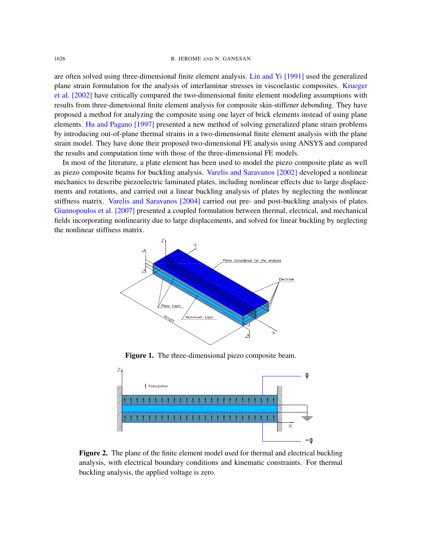#### 1626 R. JEROME AND [N. GANESAN](#page-16-1)

are often solved using three-dimensional finite element analysis. Lin and Yi [1991] used the generalized plane strain formulation for the analysis of interlaminar stresses in viscoelastic composites. Krueger et al. [2002] have critically compared the two-dimensional finite element modeling assumptions with [results from three-di](#page-16-2)mensional finite element analysis for composite skin-stiffener debonding. They have proposed a method for analyzing the composite using one layer of brick elements instead of using plane elements. Hu and Pagano [1997] presented a new method of solving generalized plane strain problems by introducing out-of-plane thermal strains in a two-dimensional finite element analysis with the plane strain model. They have done their proposed two-dimensional FE analysis using ANSYS and compared the results and computation time wit[h those of the three-dimensiona](#page-16-3)l FE models.

<span id="page-2-0"></span>In most of the literature, a plate element has been used to model the piezo composite plate as well as piezo composite beams for buckling analysis. Varelis and Saravanos [2002] developed a nonlinear mec[hanics to describe piezoelectric](#page-16-4) laminated plates, including nonlinear effects due to large displace[ments and ro](#page-16-5)tations, and carried out a linear buckling analysis of plates by neglecting the nonlinear stiffness matrix. Varelis and Saravanos [2004] carried out pre- and post-buckling analysis of plates. Giannopoulos et al. [2007] presented a coupled formulation between thermal, electrical, and mechanical fields incorporating nonlinearity due to large displacements, and solved for linear buckling by neglecting the nonlinear stiffness matrix.



Figure 1. The three-dimensional piezo composite beam.



Figure 2. The plane of the finite element model used for thermal and electrical buckling analysis, with electrical boundary conditions and kinematic constraints. For thermal buckling analysis, the applied voltage is zero.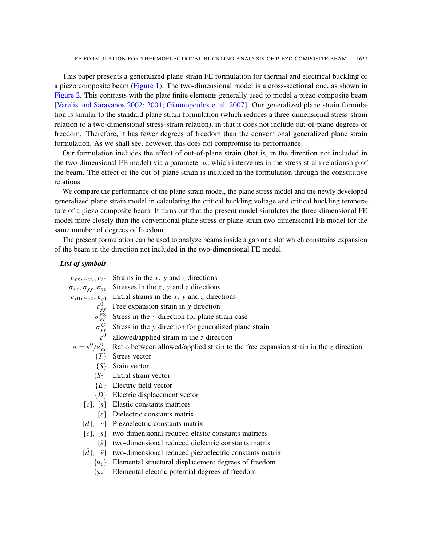This paper presents a generalized plane strain FE formulation for thermal and electrical buckling of [a piezo composit](#page-16-3)[e beam](#page-16-4) [\(Figure 1\). The two-dime](#page-16-5)nsional model is a cross-sectional one, as shown in Figure 2. This contrasts with the plate finite elements generally used to model a piezo composite beam [Varelis and Saravanos 2002; 2004; Giannopoulos et al. 2007]. Our generalized plane strain formulation is similar to the standard plane strain formulation (which reduces a three-dimensional stress-strain relation to a two-dimensional stress-strain relation), in that it does not include out-of-plane degrees of freedom. Therefore, it has fewer degrees of freedom than the conventional generalized plane strain formulation. As we shall see, however, this does not compromise its performance.

Our formulation includes the effect of out-of-plane strain (that is, in the direction not included in the two-dimensional FE model) via a parameter  $\alpha$ , which intervenes in the stress-strain relationship of the beam. The effect of the out-of-plane strain is included in the formulation through the constitutive relations.

We compare the performance of the plane strain model, the plane stress model and the newly developed generalized plane strain model in calculating the critical buckling voltage and critical buckling temperature of a piezo composite beam. It turns out that the present model simulates the three-dimensional FE model more closely than the conventional plane stress or plane strain two-dimensional FE model for the same number of degrees of freedom.

The present formulation can be used to analyze beams inside a gap or a slot which constrains expansion of the beam in the direction not included in the two-dimensional FE model.

#### *List of symbols*

| $\varepsilon_{xx}, \varepsilon_{yy}, \varepsilon_{zz}$               | Strains in the $x$ , $y$ and $z$ directions                                            |
|----------------------------------------------------------------------|----------------------------------------------------------------------------------------|
| $\sigma_{xx}, \sigma_{yy}, \sigma_{zz}$                              | Stresses in the $x$ , $y$ and $z$ directions                                           |
| $\varepsilon_{x0}, \varepsilon_{y0}, \varepsilon_{z0}$               | Initial strains in the $x$ , $y$ and $z$ directions                                    |
|                                                                      | Free expansion strain in y direction                                                   |
| $\varepsilon_{yy}^0$<br>$\sigma_{yy}^{\text{PS}}$<br>$\sigma_{yy}^G$ | Stress in the y direction for plane strain case                                        |
|                                                                      | Stress in the y direction for generalized plane strain                                 |
| $\varepsilon^0$                                                      | allowed/applied strain in the $z$ direction                                            |
| $\alpha = \varepsilon^0/\varepsilon_{vv}^0$                          | Ratio between allowed/applied strain to the free expansion strain in the $z$ direction |
| $\{T\}$                                                              | Stress vector                                                                          |
| $\{S\}$                                                              | Stain vector                                                                           |
| $\{S_0\}$                                                            | Initial strain vector                                                                  |
| $\{E\}$                                                              | Electric field vector                                                                  |
| $\{D\}$                                                              | Electric displacement vector                                                           |
| c , [s]                                                              | Elastic constants matrices                                                             |
| $\epsilon$                                                           | Dielectric constants matrix                                                            |
| [d], [e]                                                             | Piezoelectric constants matrix                                                         |
| $\lceil \overline{s} \rceil$<br>$[\bar{c}],$                         | two-dimensional reduced elastic constants matrices                                     |
| $\lceil \bar{\varepsilon} \rceil$                                    | two-dimensional reduced dielectric constants matrix                                    |
| $\lceil \bar{e} \rceil$<br>[d],                                      | two-dimensional reduced piezoelectric constants matrix                                 |
| $\{u_e\}$                                                            | Elemental structural displacement degrees of freedom                                   |
| $\{\varphi_e\}$                                                      | Elemental electric potential degrees of freedom                                        |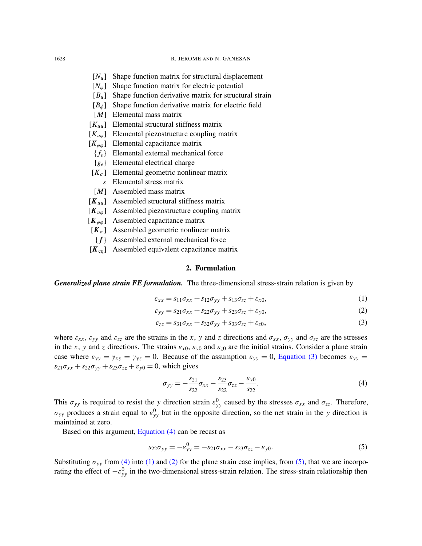- [*Nu*] Shape function matrix for structural displacement
- $[N<sub>ω</sub>]$  Shape function matrix for electric potential
- [*Bu*] Shape function derivative matrix for structural strain
- [*B*<sub>φ</sub>] Shape function derivative matrix for electric field
- [*M*] Elemental mass matrix
- [*Kuu*] Elemental structural stiffness matrix
- [*Ku*ϕ] Elemental piezostructure coupling matrix
- $[K_{\varphi\varphi}]$  Elemental capacitance matrix
	- { *fe*} Elemental external mechanical force
	- {*ge*} Elemental electrical charge
- $[K_{\sigma}]$  Elemental geometric nonlinear matrix
	- *s* Elemental stress matrix
- [*M*] Assembled mass matrix
- [*Kuu*] Assembled structural stiffness matrix
- [*Ku*ϕ] Assembled piezostructure coupling matrix
- $[K_{\varphi\varphi}]$  Assembled capacitance matrix
- $[K_{\sigma}]$  Assembled geometric nonlinear matrix
- { *f*} Assembled external mechanical force
- [*K*eq] Assembled equivalent capacitance matrix

## <span id="page-4-4"></span><span id="page-4-3"></span><span id="page-4-0"></span>2. Formulation

*Generalized plane strain FE formulation.* The three-dimensional stress-strain relation is given by

$$
\varepsilon_{xx} = s_{11}\sigma_{xx} + s_{12}\sigma_{yy} + s_{13}\sigma_{zz} + \varepsilon_{x0},\tag{1}
$$

$$
\varepsilon_{yy} = s_{21}\sigma_{xx} + s_{22}\sigma_{yy} + s_{23}\sigma_{zz} + \varepsilon_{y0},\tag{2}
$$

<span id="page-4-1"></span>
$$
\varepsilon_{zz} = s_{31}\sigma_{xx} + s_{32}\sigma_{yy} + s_{33}\sigma_{zz} + \varepsilon_{z0},\tag{3}
$$

where  $\varepsilon_{xx}$ ,  $\varepsilon_{yy}$  and  $\varepsilon_{zz}$  are the strains in the *x*, *y* and *z* direc[tions and](#page-4-0)  $\sigma_{xx}$ ,  $\sigma_{yy}$  and  $\sigma_{zz}$  are the stresses in the *x*, *y* and *z* directions. The strains  $\varepsilon_{x0}$ ,  $\varepsilon_{y0}$  and  $\varepsilon_{z0}$  are the initial strains. Consider a plane strain case where  $\varepsilon_{yy} = \gamma_{xy} = \gamma_{yz} = 0$ . Because of the assumption  $\varepsilon_{yy} = 0$ , Equation (3) becomes  $\varepsilon_{yy} = 0$  $s_{21}\sigma_{xx} + s_{22}\sigma_{yy} + s_{23}\sigma_{zz} + \varepsilon_{y0} = 0$ , which gives

<span id="page-4-2"></span>
$$
\sigma_{yy} = -\frac{s_{21}}{s_{22}} \sigma_{xx} - \frac{s_{23}}{s_{22}} \sigma_{zz} - \frac{\varepsilon_{y0}}{s_{22}}.
$$
\n(4)

This  $\sigma_{yy}$  is required to resist the *y* direction strain  $\varepsilon_{yy}^0$  caused by the stresses  $\sigma_{xx}$  and  $\sigma_{zz}$ . Therefore,  $\sigma_{yy}$  produces [a strain equal](#page-4-1) to  $\varepsilon_{yy}^0$  but in the opposite direction, so the net strain in the *y* direction is maintained at zero.

Based on this argument, Equation (4) can be recast as

$$
s_{22}\sigma_{yy} = -\varepsilon_{yy}^0 = -s_{21}\sigma_{xx} - s_{23}\sigma_{zz} - \varepsilon_{y0}.
$$
 (5)

Substituting  $\sigma_{yy}$  from (4) into (1) and (2) for the plane strain case implies, from (5), that we are incorporating the effect of  $-e_{yy}^0$  in the two-dimensional stress-strain relation. The stress-strain relationship then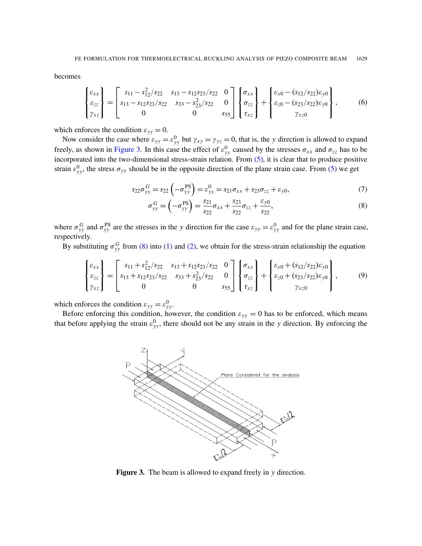<span id="page-5-2"></span>becomes

$$
\begin{Bmatrix} \varepsilon_{xx} \\ \varepsilon_{zz} \\ \gamma_{xz} \end{Bmatrix} = \begin{bmatrix} s_{11} - s_{12}^2 / s_{22} & s_{13} - s_{12} s_{23} / s_{22} & 0 \\ s_{13} - s_{12} s_{23} / s_{22} & s_{33} - s_{23}^2 / s_{22} & 0 \\ 0 & 0 & s_{55} \end{bmatrix} \begin{Bmatrix} \sigma_{xx} \\ \sigma_{zz} \\ \tau_{xz} \end{Bmatrix} + \begin{Bmatrix} \varepsilon_{x0} - (s_{12} / s_{22}) \varepsilon_{y0} \\ \varepsilon_{z0} - (s_{23} / s_{22}) \varepsilon_{y0} \\ \gamma_{xz0} \end{Bmatrix},
$$
 (6)

which [enforces t](#page-5-0)he condition  $\varepsilon_{yy} = 0$ .

Now consider the case where  $\varepsilon_{yy} = \varepsilon_{yy}^0$  but  $\gamma_{xy} = \gamma_{yz} = 0$  $\gamma_{xy} = \gamma_{yz} = 0$  $\gamma_{xy} = \gamma_{yz} = 0$ , that is, the *y* direction is allowed to expand freely, as shown in Figure 3. In this case the effect of  $\varepsilon_{yy}^0$  caused by the stre[sses](#page-4-2)  $\sigma_{xx}$  and  $\sigma_{zz}$  has to be incorporated into the two-dimensional stress-strain relation. From (5), it is clear that to produce positive strain  $\varepsilon_{yy}^0$ , the stress  $\sigma_{yy}$  should be in the opposite direction of the plane strain case. From (5) we get

$$
s_{22}\sigma_{yy}^G = s_{22}\left(-\sigma_{yy}^{PS}\right) = \varepsilon_{yy}^0 = s_{21}\sigma_{xx} + s_{23}\sigma_{zz} + \varepsilon_{y0},\tag{7}
$$

<span id="page-5-1"></span>
$$
\sigma_{yy}^G = \left(-\sigma_{yy}^{\text{PS}}\right) = \frac{s_{21}}{s_{22}}\sigma_{xx} + \frac{s_{23}}{s_{22}}\sigma_{zz} + \frac{\varepsilon_{y0}}{s_{22}},\tag{8}
$$

where  $\sigma_{yy}^G$  and  $\sigma_{yy}^{PS}$  $\sigma_{yy}^{PS}$  $\sigma_{yy}^{PS}$  are [the](#page-4-3) stre[sses](#page-4-4) in the *y* direction for the case  $\varepsilon_{yy} = \varepsilon_{yy}^0$  and for the plane strain case, respectively.

By substituting  $\sigma_{yy}^G$  from (8) into (1) and (2), we obtain for the stress-strain relationship the equation

$$
\begin{Bmatrix} \varepsilon_{xx} \\ \varepsilon_{zz} \\ \gamma_{xz} \end{Bmatrix} = \begin{bmatrix} s_{11} + s_{12}^2 / s_{22} & s_{13} + s_{12} s_{23} / s_{22} & 0 \\ s_{13} + s_{12} s_{23} / s_{22} & s_{33} + s_{23}^2 / s_{22} & 0 \\ 0 & 0 & s_{55} \end{bmatrix} \begin{Bmatrix} \sigma_{xx} \\ \sigma_{zz} \\ \tau_{xz} \end{Bmatrix} + \begin{Bmatrix} \varepsilon_{x0} + (s_{12} / s_{22}) \varepsilon_{y0} \\ \varepsilon_{z0} + (s_{23} / s_{22}) \varepsilon_{y0} \\ \gamma_{xz0} \end{Bmatrix},
$$
(9)

which enforces the condition  $\varepsilon_{yy} = \varepsilon_{yy}^0$ .

<span id="page-5-0"></span>Before enforcing this condition, however, the condition  $\varepsilon_{yy} = 0$  has to be enforced, which means that before applying the strain  $\varepsilon_{yy}^0$ , there should not be any strain in the *y* direction. By enforcing the



Figure 3. The beam is allowed to expand freely in *y* direction.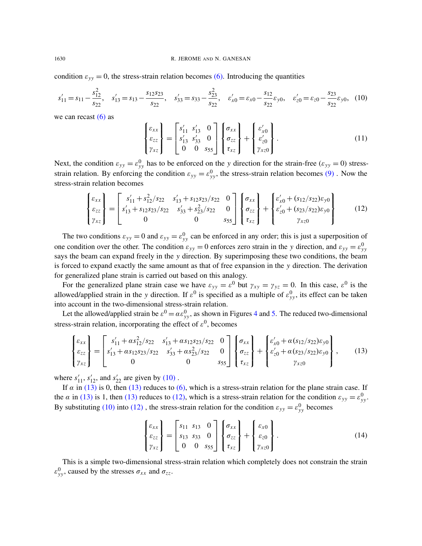condition  $\varepsilon_{yy} = 0$ , the stress-strain relation becomes (6). Introducing the quantities

$$
s'_{11} = s_{11} - \frac{s_{12}^2}{s_{22}}, \quad s'_{13} = s_{13} - \frac{s_{12}s_{23}}{s_{22}}, \quad s'_{33} = s_{33} - \frac{s_{23}^2}{s_{22}}, \quad \varepsilon'_{x0} = \varepsilon_{x0} - \frac{s_{12}}{s_{22}}\varepsilon_{y0}, \quad \varepsilon'_{z0} = \varepsilon_{z0} - \frac{s_{23}}{s_{22}}\varepsilon_{y0}, \tag{10}
$$

we can recast  $(6)$  as

<span id="page-6-0"></span>
$$
\begin{Bmatrix} \varepsilon_{xx} \\ \varepsilon_{zz} \\ \gamma_{xz} \end{Bmatrix} = \begin{bmatrix} s'_{11} & s'_{13} & 0 \\ s'_{13} & s'_{33} & 0 \\ 0 & 0 & s_{55} \end{bmatrix} \begin{Bmatrix} \sigma_{xx} \\ \sigma_{zz} \\ \tau_{xz} \end{Bmatrix} + \begin{Bmatrix} \varepsilon'_{x0} \\ \varepsilon'_{z0} \\ \gamma_{xz0} \end{Bmatrix} . \tag{11}
$$

Next, the condition  $\varepsilon_{yy} = \varepsilon_{yy}^0$  has to be enforced on the *y* direction for the strain-free ( $\varepsilon_{yy} = 0$ ) stressstrain relation. By enforcing the condition  $\varepsilon_{yy} = \varepsilon_{yy}^0$ , the stress-strain relation becomes (9). Now the stress-strain relation becomes

<span id="page-6-2"></span>
$$
\begin{Bmatrix} \varepsilon_{xx} \\ \varepsilon_{zz} \\ \gamma_{xz} \end{Bmatrix} = \begin{bmatrix} s'_{11} + s_{12}^2 / s_{22} & s'_{13} + s_{12} s_{23} / s_{22} & 0 \\ s'_{13} + s_{12} s_{23} / s_{22} & s'_{33} + s_{23}^2 / s_{22} & 0 \\ 0 & 0 & s_{55} \end{bmatrix} \begin{Bmatrix} \sigma_{xx} \\ \sigma_{zz} \\ \tau_{xz} \end{Bmatrix} + \begin{Bmatrix} \varepsilon'_{x0} + (s_{12} / s_{22}) \varepsilon_{y0} \\ \varepsilon'_{z0} + (s_{23} / s_{22}) \varepsilon_{y0} \\ \gamma_{xz0} \end{Bmatrix}
$$
(12)

The two conditions  $\varepsilon_{yy} = 0$  and  $\varepsilon_{yy} = \varepsilon_{yy}^0$  can be enforced in any order; this is just a superposition of one condition over the other. The condition  $\varepsilon_{yy} = 0$  enforces zero strain in the *y* direction, and  $\varepsilon_{yy} = \varepsilon_{yy}^0$ says the beam can expand freely in the *y* direction. By superimposing these two conditions, the beam is forced to expand exactly the same amount as that of free expansion in the *y* direction. The derivation for generalized plane strain is carried out based on this analogy.

For the generalized plane strain case we have  $\varepsilon_{yy} = \varepsilon^0$  but  $\gamma_{xy} = \gamma_{yz} = 0$ . In this case,  $\varepsilon^0$  is the allowed/applied strain in the *y* direction. If  $\varepsilon^0$  is sp[eci](#page-7-0)fie[d a](#page-7-1)s a multiple of  $\varepsilon_{yy}^0$ , its effect can be taken into account in the two-dimensional stress-strain relation.

Let the allowed/applied strain be  $\varepsilon^0 = \alpha \varepsilon_{yy}^0$ , as shown in Figures 4 and 5. The reduced two-dimensional stress-strain relation, incorporating the effect of  $\varepsilon^0$ , becomes

<span id="page-6-1"></span>
$$
\begin{Bmatrix} \varepsilon_{xx} \\ \varepsilon_{zz} \\ \gamma_{xz} \end{Bmatrix} = \begin{bmatrix} s'_{11} + \alpha s_{12}^2 / s_{22} & s'_{13} + \alpha s_{12} s_{23} / s_{22} & 0 \\ s'_{13} + \alpha s_{12} s_{23} / s_{22} & s'_{33} + \alpha s_{23}^2 / s_{22} & 0 \\ 0 & 0 & s_{55} \end{bmatrix} \begin{Bmatrix} \sigma_{xx} \\ \sigma_{zz} \\ \tau_{xz} \end{Bmatrix} + \begin{Bmatrix} \varepsilon'_{x0} + \alpha (s_{12} / s_{22}) \varepsilon_{y0} \\ \varepsilon'_{z0} + \alpha (s_{23} / s_{22}) \varepsilon_{y0} \\ \gamma_{xz0} \end{Bmatrix},
$$
(13)

[w](#page-6-1)here  $s'_{11}$ ,  $s'_{12}$ [, a](#page-6-1)nd  $s'_{22}$  are [given](#page-6-2) by (10).

If  $\alpha$  in (13) [is 0](#page-6-2), then (13) reduces to (6), which is a stress-strain relation for the plane strain case. If the  $\alpha$  in (13) is 1, then (13) reduces to (12), which is a stress-strain relation for the condition  $\varepsilon_{yy} = \varepsilon_{yy}^0$ . By substituting (10) into (12), the stress-strain relation for the condition  $\varepsilon_{yy} = \varepsilon_{yy}^0$  becomes

$$
\begin{Bmatrix} \varepsilon_{xx} \\ \varepsilon_{zz} \\ \gamma_{xz} \end{Bmatrix} = \begin{bmatrix} s_{11} & s_{13} & 0 \\ s_{13} & s_{33} & 0 \\ 0 & 0 & s_{55} \end{bmatrix} \begin{Bmatrix} \sigma_{xx} \\ \sigma_{zz} \\ \tau_{xz} \end{Bmatrix} + \begin{Bmatrix} \varepsilon_{x0} \\ \varepsilon_{z0} \\ \gamma_{xz0} \end{Bmatrix} . \tag{14}
$$

This is a simple two-dimensional stress-strain relation which completely does not constrain the strain  $\varepsilon_{yy}^0$ , caused by the stresses  $\sigma_{xx}$  and  $\sigma_{zz}$ .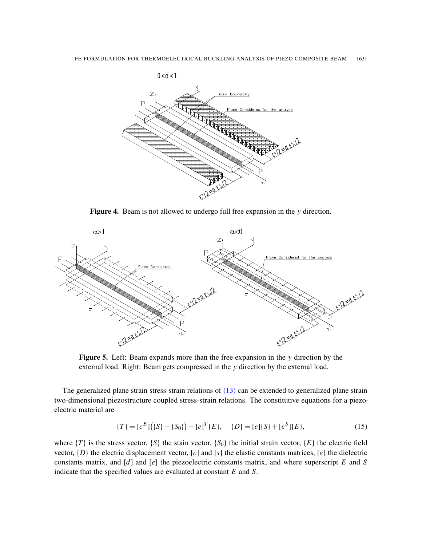<span id="page-7-0"></span>

Figure 4. Beam is not allowed to undergo full free expansion in the *y* direction.

<span id="page-7-1"></span>

Figure 5. Left: Beam expands more than the free expansion in the *y* direction by the external load. Right: Beam gets co[mpre](#page-6-1)ssed in the *y* direction by the external load.

<span id="page-7-2"></span>The generalized plane strain stress-strain relations of (13) can be extended to generalized plane strain two-dimensional piezostructure coupled stress-strain relations. The constitutive equations for a piezoelectric material are

$$
\{T\} = [c^E] \left( \{S\} - \{S_0\} \right) - [e]^T \{E\}, \quad \{D\} = [e] \{S\} + [e^S] \{E\}, \tag{15}
$$

where  $\{T\}$  is the stress vector,  $\{S\}$  the stain vector,  $\{S_0\}$  the initial strain vector,  $\{E\}$  the electric field vector, {*D*} the electric displacement vector, [*c*] and [*s*] the elastic constants matrices, [ε] the dielectric constants matrix, and [*d*] and [*e*] the piezoelectric constants matrix, and where superscript *E* and *S* indicate that the specified values are evaluated at constant *E* and *S*.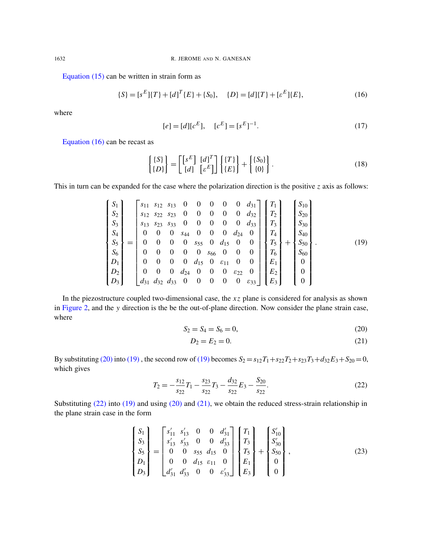<span id="page-8-2"></span>Equation (15) can be written in strain form as

<span id="page-8-0"></span>
$$
\{S\} = [s^E]\{T\} + [d]^T\{E\} + \{S_0\}, \quad \{D\} = [d]\{T\} + [s^E]\{E\},
$$
\n<sup>(16)</sup>

[wher](#page-8-0)e

$$
[e] = [d][cE], \quad [cE] = [sE]-1.
$$
\n(17)

Equation (16) can be recast as

$$
\begin{Bmatrix} \{S\} \\ \{D\} \end{Bmatrix} = \begin{bmatrix} \begin{bmatrix} s^E \end{bmatrix} & [d]^T \\ \begin{bmatrix} d \end{bmatrix} & \begin{bmatrix} s^E \end{bmatrix} \end{bmatrix} \begin{Bmatrix} \{T\} \\ \{E\} \end{Bmatrix} + \begin{Bmatrix} \{S_0\} \\ \{0\} \end{Bmatrix} . \tag{18}
$$

This in turn can be expanded for the case where the polarization direction is the positive *z* axis as follows:

$$
\begin{bmatrix}\nS_1 \\
S_2 \\
S_3 \\
S_4 \\
S_5 \\
S_6 \\
D_1 \\
D_2 \\
D_3\n\end{bmatrix} =\n\begin{bmatrix}\ns_{11} & s_{12} & s_{13} & 0 & 0 & 0 & 0 & d_{31} \\
s_{12} & s_{22} & s_{23} & 0 & 0 & 0 & 0 & d_{32} \\
s_{13} & s_{23} & s_{33} & 0 & 0 & 0 & 0 & d_{33} \\
0 & 0 & 0 & s_{44} & 0 & 0 & 0 & d_{24} & 0 \\
0 & 0 & 0 & s_{55} & 0 & d_{15} & 0 & 0 \\
0 & 0 & 0 & 0 & s_{66} & 0 & 0 & 0 \\
0 & 0 & 0 & d_{15} & 0 & \varepsilon_{11} & 0 & 0 \\
0 & 0 & 0 & d_{24} & 0 & 0 & 0 & \varepsilon_{22} & 0 \\
0 & 0 & 0 & d_{24} & 0 & 0 & 0 & \varepsilon_{22} & 0 \\
d_{31} & d_{32} & d_{33} & 0 & 0 & 0 & 0 & \varepsilon_{33}\n\end{bmatrix}\n\begin{bmatrix}\nT_1 \\
T_2 \\
T_3 \\
T_4 \\
T_5 \\
T_6 \\
T_7 \\
T_8 \\
T_9 \\
T_1 \\
T_1 \\
T_2 \\
T_3 \\
T_4 \\
T_5 \\
T_6 \\
T_7 \\
T_8 \\
T_9 \\
T_1 \\
T_2 \\
T_3 \\
T_4 \\
T_5 \\
T_6 \\
T_7 \\
T_8 \\
T_9 \\
T_1 \\
T_2 \\
T_3 \\
T_4 \\
T_5 \\
T_6 \\
T_7 \\
T_8 \\
T_9 \\
T_9 \\
T_0 \\
T_1 \\
T_2 \\
T_3 \\
T_4 \\
T_5 \\
T_6 \\
T_7 \\
T_8 \\
T_9 \\
T_9 \\
T_1 \\
T_0 \\
T_
$$

In the piezostructure coupled two-dimensional case, the *x z* plane is considered for analysis as shown in Figure 2, and the *y* direction is the be the out-of-plane direction. Now consider the plane strain case, where

$$
S_2 = S_4 = S_6 = 0,\t(20)
$$

<span id="page-8-1"></span>
$$
D_2 = E_2 = 0.\t\t(21)
$$

By substituting (20) into (19), the second row of (19) becomes  $S_2 = s_{12}T_1 + s_{22}T_2 + s_{23}T_3 + d_{32}E_3 + S_{20} = 0$ , which gives

$$
T_2 = -\frac{s_{12}}{s_{22}}T_1 - \frac{s_{23}}{s_{22}}T_3 - \frac{d_{32}}{s_{22}}E_3 - \frac{S_{20}}{s_{22}}.
$$
 (22)

Substituting (22) into (19) and using (20) and (21), we obtain the reduced stress-strain relationship in the plane strain case in the form

$$
\begin{Bmatrix}\nS_1 \\
S_3 \\
S_5 \\
S_1 \\
D_1 \\
D_3\n\end{Bmatrix} =\n\begin{bmatrix}\ns'_{11} & s'_{13} & 0 & 0 & d'_{31} \\
s'_{13} & s'_{33} & 0 & 0 & d'_{33} \\
0 & 0 & s_{55} & d_{15} & 0 \\
0 & 0 & d_{15} & \varepsilon_{11} & 0 \\
d'_{31} & d'_{33} & 0 & 0 & \varepsilon'_{33}\n\end{bmatrix}\n\begin{bmatrix}\nT_1 \\
T_3 \\
T_5 \\
T_5 \\
E_1 \\
E_3\n\end{bmatrix} +\n\begin{bmatrix}\nS'_{10} \\
S'_{30} \\
S_{50} \\
0 \\
0\n\end{bmatrix},
$$
\n(23)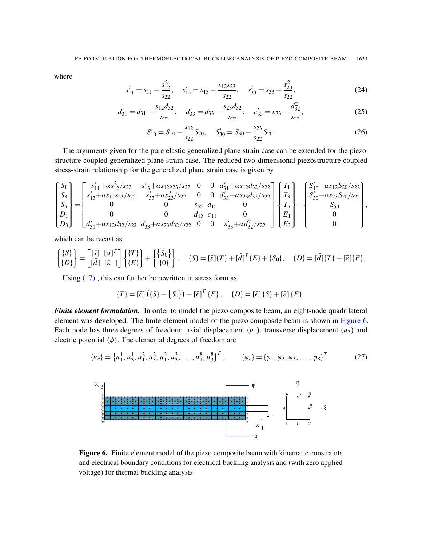where

$$
s'_{11} = s_{11} - \frac{s_{12}^2}{s_{22}}, \quad s'_{13} = s_{13} - \frac{s_{12}s_{23}}{s_{22}}, \quad s'_{33} = s_{33} - \frac{s_{23}^2}{s_{22}}, \tag{24}
$$

$$
d'_{31} = d_{31} - \frac{s_{12}d_{32}}{s_{22}}, \quad d'_{33} = d_{33} - \frac{s_{23}d_{32}}{s_{22}}, \quad \varepsilon'_{33} = \varepsilon_{33} - \frac{d_{32}^2}{s_{22}}, \tag{25}
$$

$$
S'_{10} = S_{10} - \frac{s_{12}}{s_{22}} S_{20}, \quad S'_{30} = S_{30} - \frac{s_{23}}{s_{22}} S_{20}.
$$
 (26)

The arguments given for the pure elastic generalized plane strain case can be extended for the piezostructure coupled generalized plane strain case. The reduced two-dimensional piezostructure coupled stress-strain relationship for the generalized plane strain case is given by

$$
\begin{Bmatrix} S_1 \\ S_3 \\ S_5 \\ S_7 \\ D_1 \\ D_3 \end{Bmatrix} = \begin{bmatrix} s'_{11} + as_{12}^2/s_{22} & s'_{13} + as_{12}s_{23}/s_{22} & 0 & 0 & d'_{31} + as_{12}d_{32}/s_{22} \\ s'_{13} + as_{12}s_{23}/s_{22} & s'_{33} + as_{23}^2/s_{22} & 0 & 0 & d'_{33} + as_{23}d_{32}/s_{22} \\ 0 & 0 & s_{55} & d_{15} & 0 \\ 0 & 0 & d_{15} & \varepsilon_{11} & 0 \\ 0 & 0 & d_{15} & \varepsilon_{11} & 0 \\ d'_{31} + as_{12}d_{32}/s_{22} & d'_{33} + as_{23}d_{32}/s_{22} & 0 & 0 & \varepsilon'_{33} + ad_{32}^2/s_{22} \end{bmatrix} \begin{Bmatrix} T_1 \\ T_3 \\ T_5 \\ F_6 \\ E_1 \\ E_3 \end{Bmatrix} + \begin{Bmatrix} S'_{10} - as_{12}S_{20}/s_{22} \\ S'_{30} - as_{23}S_{20}/s_{22} \\ S_{50} \\ 0 \\ 0 \end{Bmatrix},
$$

which can be recast as

$$
\begin{Bmatrix} \{S\} \\ \{D\} \end{Bmatrix} = \begin{bmatrix} [\bar{s}] & [\bar{d}]^T \\ [\bar{d}] & [\bar{\varepsilon} \end{bmatrix} \begin{Bmatrix} \{T\} \\ \{E\} \end{Bmatrix} + \begin{Bmatrix} \{\overline{S}_0\} \\ \{0\} \end{Bmatrix}, \quad \{S\} = [\bar{s}]\{T\} + [\bar{d}]\{T\} + \{\overline{S}_0\}, \quad \{D\} = [\bar{d}]\{T\} + [\bar{\varepsilon}]\{E\}.
$$

Using  $(17)$ , this can further be rewritten in stress form as

$$
\{T\} = [\bar{c}] \left( \{S\} - \{\overline{S_0}\}\right) - [\bar{e}]^T \{E\}, \quad \{D\} = [\bar{e}] \{S\} + [\bar{e}] \{E\}.
$$

<span id="page-9-0"></span>*Finite element formulation.* In order to model the piezo composite beam, an eight-node quadrilateral element was developed. The finite element model of the piezo composite beam is shown in Figure 6. Each node has three degrees of freedom: axial displacement  $(u_1)$ , transverse displacement  $(u_3)$  and electric potential  $(\phi)$ . The elemental degrees of freedom are

$$
\{u_e\} = \left\{u_1^1, u_3^1, u_1^2, u_3^2, u_1^3, u_3^3, \dots, u_1^8, u_3^8\right\}^T, \qquad \{\varphi_e\} = \{\varphi_1, \varphi_2, \varphi_3, \dots, \varphi_8\}^T. \tag{27}
$$



Figure 6. Finite element model of the piezo composite beam with kinematic constraints and electrical boundary conditions for electrical buckling analysis and (with zero applied voltage) for thermal buckling analysis.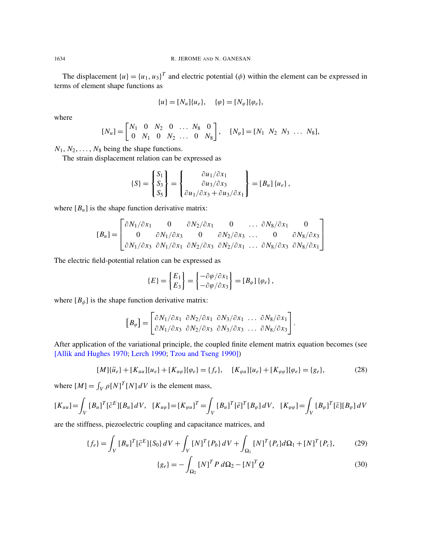The displacement  $\{u\} = \{u_1, u_3\}^T$  and electric potential  $(\phi)$  within the element can be expressed in terms of element shape functions as

$$
\{u\} = [N_u]\{u_e\}, \quad \{\varphi\} = [N_\varphi]\{\varphi_e\},
$$

where

$$
[N_u] = \begin{bmatrix} N_1 & 0 & N_2 & 0 & \dots & N_8 & 0 \\ 0 & N_1 & 0 & N_2 & \dots & 0 & N_8 \end{bmatrix}, \quad [N_\varphi] = [N_1 \ N_2 \ N_3 \ \dots \ N_8],
$$

 $N_1, N_2, \ldots, N_8$  being the shape functions.

The strain displacement relation can be expressed as

$$
\{S\} = \begin{Bmatrix} S_1 \\ S_3 \\ S_5 \end{Bmatrix} = \begin{Bmatrix} \frac{\partial u_1}{\partial x_1} \\ \frac{\partial u_3}{\partial x_3} \\ \frac{\partial u_1}{\partial x_3} + \frac{\partial u_3}{\partial x_1} \end{Bmatrix} = [B_u] \{u_e\},
$$

 $\overline{a}$ 

where  $[B_u]$  is the shape function derivative matrix:

$$
[B_u] = \begin{bmatrix} \frac{\partial N_1}{\partial x_1} & 0 & \frac{\partial N_2}{\partial x_1} & 0 & \dots & \frac{\partial N_8}{\partial x_1} & 0 \\ 0 & \frac{\partial N_1}{\partial x_3} & 0 & \frac{\partial N_2}{\partial x_3} & \dots & 0 & \frac{\partial N_8}{\partial x_3} \\ \frac{\partial N_1}{\partial x_3} & \frac{\partial N_1}{\partial x_1} & \frac{\partial N_2}{\partial x_3} & \frac{\partial N_2}{\partial x_1} & \dots & \frac{\partial N_8}{\partial x_3} & \frac{\partial N_8}{\partial x_1} \end{bmatrix}
$$

The electric field-potential relation can be expressed as

<span id="page-10-1"></span>
$$
\{E\} = \begin{Bmatrix} E_1 \\ E_3 \end{Bmatrix} = \begin{Bmatrix} -\frac{\partial \varphi}{\partial x_1} \\ -\frac{\partial \varphi}{\partial x_3} \end{Bmatrix} = [B_{\varphi}] \{\varphi_e\},\,
$$

where  $[B_{\phi}]$  is the shape function derivative matrix:

$$
\begin{bmatrix} B_{\varphi} \end{bmatrix} = \begin{bmatrix} \frac{\partial N_1}{\partial x_1} & \frac{\partial N_2}{\partial x_1} & \frac{\partial N_3}{\partial x_1} & \dots & \frac{\partial N_8}{\partial x_1} \\ \frac{\partial N_1}{\partial x_3} & \frac{\partial N_2}{\partial x_3} & \frac{\partial N_3}{\partial x_3} & \dots & \frac{\partial N_8}{\partial x_3} \end{bmatrix}.
$$

After application of the variational principle, the coupled finite element matrix equation becomes (see [Allik and Hughes 1970; Lerch 1990; Tzou and Tseng 1990])

$$
[M]\{\ddot{u}_e\} + [K_{uu}]\{u_e\} + [K_{u\varphi}]\{\varphi_e\} = \{f_e\}, \quad [K_{\varphi u}]\{u_e\} + [K_{\varphi\varphi}]\{\varphi_e\} = \{g_e\},\tag{28}
$$

where  $[M] = \int_V \rho[N]^T [N] dV$  is the element mass,

$$
[K_{uu}] = \int_V [B_u]^T [\bar{c}^E][B_u] dV, \quad [K_{u\varphi}] = [K_{\varphi u}]^T = \int_V [B_u]^T [\bar{e}]^T [B_{\varphi}] dV, \quad [K_{\varphi\varphi}] = \int_V [B_{\varphi}]^T [\bar{e}][B_{\varphi}] dV
$$

are the stiffness, piezoelectric coupling and capacitance matrices, and

$$
\{f_e\} = \int_V [B_u]^T [\bar{c}^E] \{S_0\} dV + \int_V [N]^T \{P_b\} dV + \int_{\Omega_1} [N]^T \{P_s\} d\Omega_1 + [N]^T \{P_c\},\tag{29}
$$

<span id="page-10-0"></span>
$$
\{g_e\} = -\int_{\Omega_2} \left[N\right]^T P \, d\Omega_2 - \left[N\right]^T Q \tag{30}
$$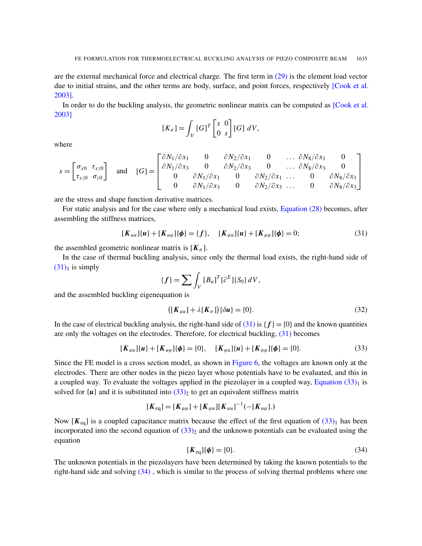are the external mechanical force and electrical charge. The first term in (29) is the element load vector due to initial strains, and the other terms are body, surface, and point forces, r[espectively](#page-16-7) [Cook et al. 2003].

In order to do the buckling analysis, the geometric nonlinear matrix can be computed as [Cook et al. 2003]

$$
[K_{\sigma}] = \int_{V} [G]^T \begin{bmatrix} s & 0 \\ 0 & s \end{bmatrix} [G] dV,
$$

where

$$
s = \begin{bmatrix} \sigma_{x0} & \tau_{xz0} \\ \tau_{xz0} & \sigma_{z0} \end{bmatrix} \text{ and } [G] = \begin{bmatrix} \frac{\partial N_1}{\partial x_1} & 0 & \frac{\partial N_2}{\partial x_1} & 0 & \dots & \frac{\partial N_8}{\partial x_1} & 0 \\ \frac{\partial N_1}{\partial x_3} & 0 & \frac{\partial N_2}{\partial x_3} & 0 & \dots & \frac{\partial N_8}{\partial x_3} & 0 \\ 0 & \frac{\partial N_1}{\partial x_3} & 0 & \frac{\partial N_2}{\partial x_1} & \dots & 0 & \frac{\partial N_8}{\partial x_1} \\ 0 & \frac{\partial N_1}{\partial x_3} & 0 & \frac{\partial N_2}{\partial x_3} & \dots & 0 & \frac{\partial N_8}{\partial x_3} \end{bmatrix}
$$

are the stress and shape function derivative matrices.

For static analysis and for the case where only a mechanical load exists, Equation (28) becomes, after assembling the stiffness matrices,

<span id="page-11-0"></span>
$$
[\mathbf{K}_{uu}](u) + [\mathbf{K}_{u\varphi}](\phi) = \{f\}, \quad [\mathbf{K}_{\varphi u}](u) + [\mathbf{K}_{\varphi\varphi}](\phi) = 0; \tag{31}
$$

the assembled geometric nonlinear matrix is  $[K_{\sigma}]$ .

In the case of thermal buckling analysis, since only the thermal load exists, the right-hand side of  $(31)<sub>1</sub>$  is simply

$$
\{f\} = \sum \int_{V} [B_u]^T [\bar{c}^E] \{S_0\} dV,
$$

and the assembled buckling eigenequation is

<span id="page-11-1"></span>
$$
\left( [K_{uu}] + \lambda [K_{\sigma}] \right) \{ \delta u \} = \{ 0 \}.
$$
\n(32)

In the case of electrical buckling analysis, the right-hand side of  $(31)$  is  $\{f\} = \{0\}$  and the known quantities are only the voltages on the electrodes. Therefore, for electrical buckling, (31) becomes

$$
[\mathbf{K}_{uu}](u) + [\mathbf{K}_{u\varphi}](\phi) = \{0\}, \quad [\mathbf{K}_{\varphi u}](u) + [\mathbf{K}_{\varphi\varphi}](\phi) = \{0\}.
$$
 (33)

Since the FE model is a cross section model, as shown in Figure 6, the [voltages are kn](#page-11-1)own only at the electrodes. There are othe[r nod](#page-11-1)es in the piezo layer whose potentials have to be evaluated, and this in a coupled way. To evaluate the voltages applied in the piezolayer in a coupled way, Equation  $(33)_1$  is solved for  $\{u\}$  and it is substituted into  $(33)_2$  to get an equivalent stiffness [matrix](#page-11-1)

$$
[\mathbf{K}_{\text{eq}}] = [\mathbf{K}_{\varphi\varphi}] + [\mathbf{K}_{\varphi u}][\mathbf{K}_{uu}]^{-1}(-[\mathbf{K}_{u\varphi}].)
$$

Now  $[K_{eq}]$  is a coupled capacitance matrix because the effect of the first equation of  $(33)_1$  has been incorporated into the second equation of  $(33)_2$  and the unknown potentials can be evaluated using the equation

$$
[\boldsymbol{K}_{\text{eq}}] \{\boldsymbol{\phi}\} = \{0\}.
$$
\n
$$
(34)
$$

The unknown potentials in the piezolayers have been determined by taking the known potentials to the right-hand side and solving (34) , which is similar to the process of solving thermal problems where one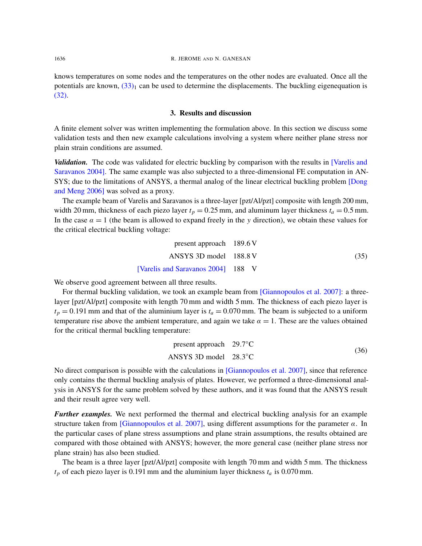knows temperatures on some nodes and the temperatures on the other nodes are evaluated. Once all the potentials are known,  $(33)_1$  can be used to determine the displacements. The buckling eigenequation is (32).

#### 3. Results and discussion

A finite element solver was written implementing the formulation above. In this section we discuss some validation tests and then new example calculations involving a system where [neither plan](#page-16-4)e stress nor [plai](#page-16-4)n strain conditions are assumed.

*Validation.* The code was validated for electric buckling by comparison with the res[ults in](#page-16-8) [Varelis and [Sara](#page-16-8)vanos 2004]. The same example was also subjected to a three-dimensional FE computation in AN-SYS; due to the limitations of ANSYS, a thermal analog of the linear electrical buckling problem [Dong and Meng 2006] was solved as a proxy.

The example beam of Varelis and Saravanos is a three-layer [pzt/Al/pzt] composite with length 200 mm, width 20 mm, thickness of each piezo layer  $t_p = 0.25$  mm, and aluminum layer thickness  $t_a = 0.5$  mm. In the case  $\alpha = 1$  (the beam is allowed to expand freely in the *y* direction), we obtain these values for the critical electrical buckling voltage:

| present approach $189.6 \text{ V}$ |      |
|------------------------------------|------|
| ANSYS 3D model 188.8 V             | (35) |
| [Varelis and Saravanos 2004] 188 V |      |

We observe good agreement between all three results.

For thermal buckling validation, we took an example beam from [Giannopoulos et al. 2007]: a threelayer [pzt/Al/pzt] composite with length 70 mm and width 5 mm. The thickness of each piezo layer is  $t_p = 0.191$  mm and that of the aluminium layer is  $t_a = 0.070$  mm. The beam is subjected to a uniform temperature rise above the ambient temperature, and again we take  $\alpha = 1$ . These are the values obtained for the critical thermal buckling temperature:

present approach 
$$
29.7^{\circ}
$$
C  
ANSYS 3D model  $28.3^{\circ}$ C (36)

No direct comparison is possible with the calculations in [Giannopoulos et al. 2007], since that reference only contains the thermal buckling analysis of plates. However, we performed a three-dimensional analysis in ANSYS for the same problem solved by these authors, and it was found that the ANSYS result and their [result agree very well.](#page-16-5)

*Further examples.* We next performed the thermal and electrical buckling analysis for an example structure taken from [Giannopoulos et al. 2007], using different assumptions for the parameter  $\alpha$ . In the particular cases of plane stress assumptions and plane strain assumptions, the results obtained are compared with those obtained with ANSYS; however, the more general case (neither plane stress nor plane strain) has also been studied.

The beam is a three layer [pzt/Al/pzt] composite with length 70 mm and width 5 mm. The thickness *t<sup>p</sup>* of each piezo layer is 0.191 mm and the aluminium layer thickness *t<sup>a</sup>* is 0.070 mm.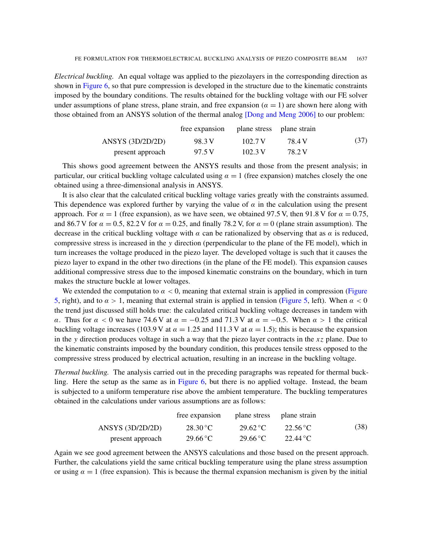*Electrical buckling.* An equal voltage was applied to the piezolayers in the corresponding direction as shown in Figure 6, so that pure compression is developed in the structure due to the kinematic constraints imposed by the boundary conditions. The results [obtained for the bucklin](#page-16-8)g voltage with our FE solver under assumptions of plane stress, plane strain, and free expansion  $(\alpha = 1)$  are shown here along with those obtained from an ANSYS solution of the thermal analog [Dong and Meng 2006] to our problem:

|                    | free expansion plane stress plane strain |         |        |      |
|--------------------|------------------------------------------|---------|--------|------|
| ANSYS $(3D/2D/2D)$ | 98.3 V                                   | 102.7 V | 78 4 V | (37) |
| present approach   | 97.5 V                                   | 102.3 V | 78.2 V |      |

This shows good agreement between the ANSYS results and those from the present analysis; in particular, our critical buckling voltage calculated using  $\alpha = 1$  (free expansion) matches closely the one obtained using a three-dimensional analysis in ANSYS.

It is also clear that the calculated critical buckling voltage varies greatly with the constraints assumed. This dependence was explored further by varying the value of  $\alpha$  in the calculation using the present approach. For  $\alpha = 1$  (free expansion), as we have seen, we obtained 97.5 V, then 91.8 V for  $\alpha = 0.75$ , and 86.7 V for  $\alpha = 0.5$ , 82.2 V for  $\alpha = 0.25$ , and finally 78.2 V, for  $\alpha = 0$  (plane strain assumption). The decrease in the critical buckling voltage with  $\alpha$  can be rationalized by observing that as  $\alpha$  is reduced, compressive stress is increased in the *y* direction (perpendicular to the plane of the FE model), which in turn increases the voltage produced in the piezo layer. The developed voltage is such that it causes the piezo layer to expand in the other two directions (in the plane of the FE model). This expansion causes additional compressive stress due to the imposed kinematic c[onstrains](#page-7-1) on the boun[dary, w](#page-7-1)hich in turn makes the structure buckle at lower voltages.

We extended the computation to  $\alpha < 0$ , meaning that external strain is applied in compression (Figure 5, right), and to  $\alpha > 1$ , meaning that external strain is applied in tension (Figure 5, left). When  $\alpha < 0$ the trend just discussed still holds true: the calculated critical buckling voltage decreases in tandem with α. Thus for  $\alpha$  < 0 we have 74.6 V at  $\alpha = -0.25$  and 71.3 V at  $\alpha = -0.5$ . When  $\alpha > 1$  the critical buckling voltage increases (103.9 V at  $\alpha = 1.25$  and 111.3 V at  $\alpha = 1.5$ ); this is because the expansion in the *y* direction produces voltage in such a way that the piezo layer contracts in the *x z* plane. Due to the kinematic constraints imposed by the boundary condition, this produces tensile stress opposed to the compressive stress produce[d by electr](#page-9-0)ical actuation, resulting in an increase in the buckling voltage.

*Thermal buckling.* The analysis carried out in the preceding paragraphs was repeated for thermal buckling. Here the setup as the same as in Figure 6, but there is no applied voltage. Instead, the beam is subjected to a uniform temperature rise above the ambient temperature. The buckling temperatures obtained in the calculations under various assumptions are as follows:

|                    | free expansion    | plane stress plane strain |                           |      |
|--------------------|-------------------|---------------------------|---------------------------|------|
| ANSYS $(3D/2D/2D)$ | $28.30^{\circ}$ C | $29.62\degree C$          | $22.56\,^{\circ}\text{C}$ | (38) |
| present approach   | $29.66^{\circ}$ C | $29.66^{\circ}$ C         | $22.44\degree C$          |      |

Again we see good agreement between the ANSYS calculations and those based on the present approach. Further, the calculations yield the same critical buckling temperature using the plane stress assumption or using  $\alpha = 1$  (free expansion). This is because the thermal expansion mechanism is given by the initial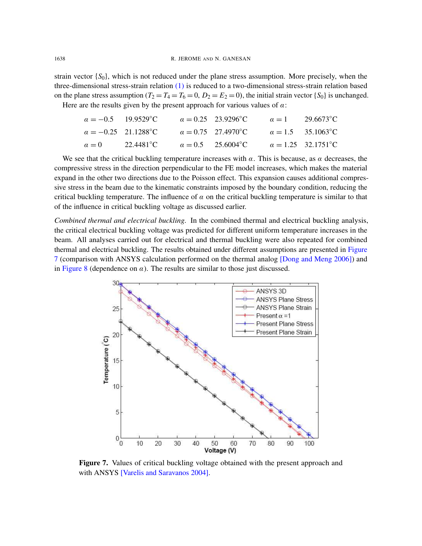strain vector {*S*0}, which is not reduced under the plane stress assumption. More precisely, when the three-dimensional stress-strain relation (1) is reduced to a two-dimensional stress-strain relation based on the plane stress assumption  $(T_2 = T_4 = T_6 = 0, D_2 = E_2 = 0)$ , the initial strain vector  $\{S_0\}$  is unchanged. Here are the results given by the present approach for various values of  $\alpha$ :

| $\alpha = -0.5$ 19.9529 °C  | $\alpha = 0.25$ 23.9296°C | $\alpha = 1$ 29.6673 °C                |
|-----------------------------|---------------------------|----------------------------------------|
| $\alpha = -0.25$ 21.1288 °C | $\alpha = 0.75$ 27.4970°C | $\alpha = 1.5$ 35.1063°C               |
| $\alpha = 0$ 22.4481 °C     | $\alpha = 0.5$ 25.6004°C  | $\alpha = 1.25$ 32.1751 <sup>o</sup> C |

We see that the critical buckling temperature increases with  $\alpha$ . This is because, as  $\alpha$  decreases, the compressive stress in the direction perpendicular to the FE model increases, which makes the material expand in the other two directions due to the Poisson effect. This expansion causes additional compressive stress in the beam due to the kinematic constraints imposed by the boundary condition, reducing the critical buckling temperature. The influence of  $\alpha$  on the critical buckling temperature is similar to that of the influence in critical buckling voltage as discussed earlier.

<span id="page-14-0"></span>*Combined thermal and electrical buckling.* In the combined thermal and electrical buckling analysis, the critical electrical buckling voltage was predicted for different uniform temperat[ure incr](#page-14-0)eases in the beam. All analyses carried out for electrical and thermal bu[ckling were also repea](#page-16-8)ted for combined thermal and electrical buckling. The results obtained under different assumptions are presented in Figure 7 (comparison with ANSYS calculation performed on the thermal analog [Dong and Meng 2006]) and in Figure 8 (dependence on  $\alpha$ ). The results are similar to those just discussed.



Figure 7. Values of critical buckling voltage obtained with the present approach and with ANSYS [Varelis and Saravanos 2004].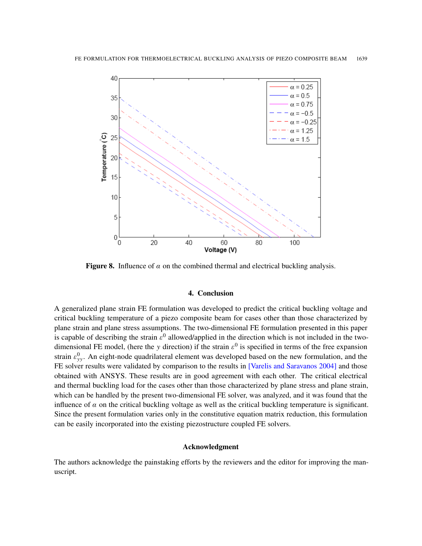

Figure 8. Influence of  $\alpha$  on the combined thermal and electrical buckling analysis.

# 4. Conclusion

A generalized plane strain FE formulation was developed to predict the critical buckling voltage and critical buckling temperature of a piezo composite beam for cases other than those characterized by plane strain and plane stress assumptions. The two-dimensional FE formulation presented in this paper is capable of describing the strain  $\varepsilon^0$  allowed/applied in the direction which is not included in the twodimensional FE model, (here the *y* direction) if the strain  $\varepsilon^0$  [is specified in term](#page-16-4)s of the free expansion strain  $\varepsilon_{yy}^0$ . An eight-node quadrilateral element was developed based on the new formulation, and the FE solver results were validated by comparison to the results in [Varelis and Saravanos 2004] and those obtained with ANSYS. These results are in good agreement with each other. The critical electrical and thermal buckling load for the cases other than those characterized by plane stress and plane strain, which can be handled by the present two-dimensional FE solver, was analyzed, and it was found that the influence of  $\alpha$  on the critical buckling voltage as well as the critical buckling temperature is significant. Since the present formulation varies only in the constitutive equation matrix reduction, this formulation can be easily incorporated into the existing piezostructure coupled FE solvers.

## Acknowledgment

The authors acknowledge the painstaking efforts by the reviewers and the editor for improving the manuscript.